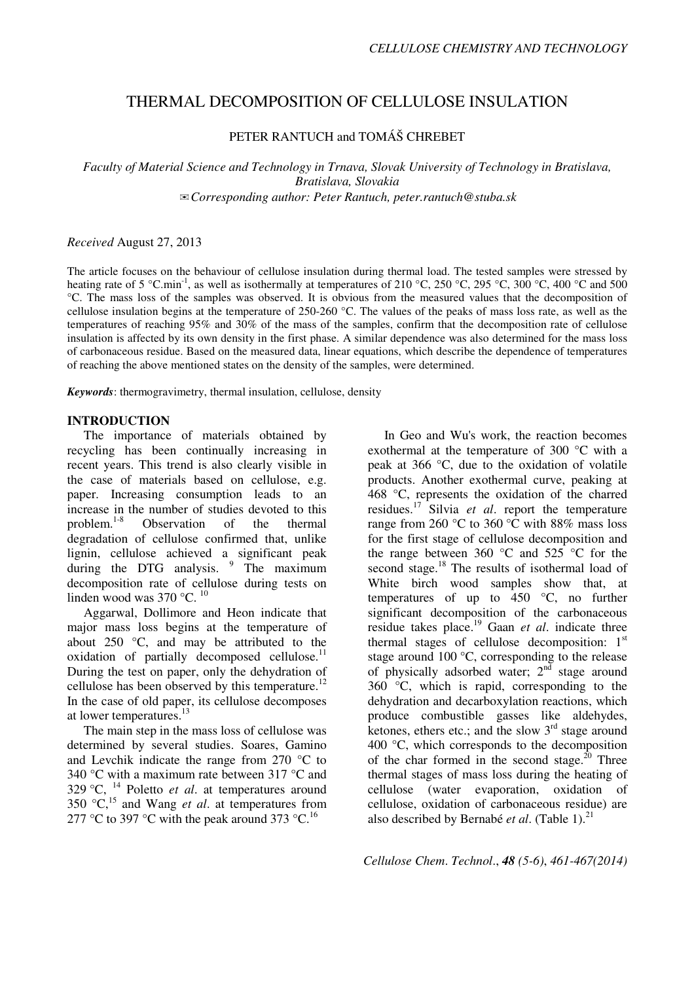## THERMAL DECOMPOSITION OF CELLULOSE INSULATION

PETER RANTUCH and TOMÁŠ CHREBET

*Faculty of Material Science and Technology in Trnava, Slovak University of Technology in Bratislava, Bratislava, Slovakia*  ✉*Corresponding author: Peter Rantuch, peter.rantuch@stuba.sk* 

*Received* August 27, 2013

The article focuses on the behaviour of cellulose insulation during thermal load. The tested samples were stressed by heating rate of 5 °C.min<sup>-1</sup>, as well as isothermally at temperatures of 210 °C, 250 °C, 295 °C, 300 °C, 400 °C and 500 °C. The mass loss of the samples was observed. It is obvious from the measured values that the decomposition of cellulose insulation begins at the temperature of 250-260  $^{\circ}$ C. The values of the peaks of mass loss rate, as well as the temperatures of reaching 95% and 30% of the mass of the samples, confirm that the decomposition rate of cellulose insulation is affected by its own density in the first phase. A similar dependence was also determined for the mass loss of carbonaceous residue. Based on the measured data, linear equations, which describe the dependence of temperatures of reaching the above mentioned states on the density of the samples, were determined.

*Keywords*: thermogravimetry, thermal insulation, cellulose, density

## **INTRODUCTION**

The importance of materials obtained by recycling has been continually increasing in recent years. This trend is also clearly visible in the case of materials based on cellulose, e.g. paper. Increasing consumption leads to an increase in the number of studies devoted to this problem.<sup>1-8</sup> Observation of the thermal degradation of cellulose confirmed that, unlike lignin, cellulose achieved a significant peak during the DTG analysis. <sup>9</sup> The maximum decomposition rate of cellulose during tests on linden wood was 370 °C. <sup>10</sup>

Aggarwal, Dollimore and Heon indicate that major mass loss begins at the temperature of about  $250$  °C, and may be attributed to the oxidation of partially decomposed cellulose. $11$ During the test on paper, only the dehydration of cellulose has been observed by this temperature.<sup>12</sup> In the case of old paper, its cellulose decomposes at lower temperatures.<sup>13</sup>

The main step in the mass loss of cellulose was determined by several studies. Soares, Gamino and Levchik indicate the range from 270 °C to 340 °C with a maximum rate between 317 °C and 329 °C, <sup>14</sup> Poletto *et al*. at temperatures around 350 °C,<sup>15</sup> and Wang *et al*. at temperatures from 277 °C to 397 °C with the peak around 373 °C.<sup>16</sup>

In Geo and Wu's work, the reaction becomes exothermal at the temperature of 300 °C with a peak at 366 °C, due to the oxidation of volatile products. Another exothermal curve, peaking at 468 °C, represents the oxidation of the charred residues.<sup>17</sup> Silvia *et al*. report the temperature range from 260  $\degree$ C to 360  $\degree$ C with 88% mass loss for the first stage of cellulose decomposition and the range between 360  $\degree$ C and 525  $\degree$ C for the second stage.<sup>18</sup> The results of isothermal load of White birch wood samples show that, at temperatures of up to  $450$  °C, no further significant decomposition of the carbonaceous residue takes place.<sup>19</sup> Gaan *et al*. indicate three thermal stages of cellulose decomposition:  $1<sup>st</sup>$ stage around 100 °C, corresponding to the release of physically adsorbed water;  $2<sup>nd</sup>$  stage around 360 °C, which is rapid, corresponding to the dehydration and decarboxylation reactions, which produce combustible gasses like aldehydes, ketones, ethers etc.; and the slow  $3<sup>rd</sup>$  stage around 400 °C, which corresponds to the decomposition of the char formed in the second stage.<sup>20</sup> Three thermal stages of mass loss during the heating of cellulose (water evaporation, oxidation of cellulose, oxidation of carbonaceous residue) are also described by Bernabé *et al*. (Table 1).<sup>21</sup>

*Cellulose Chem*. *Technol*., *48 (5-6)*, *461-467(2014)*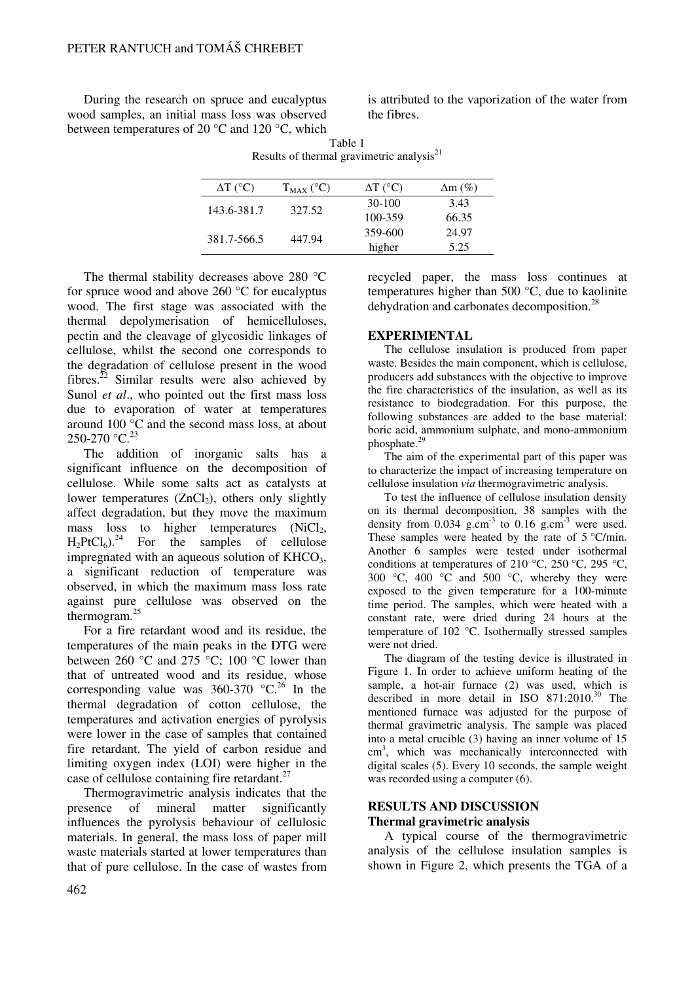During the research on spruce and eucalyptus wood samples, an initial mass loss was observed between temperatures of 20 °C and 120 °C, which is attributed to the vaporization of the water from the fibres.

| $\Delta T$ (°C) | $T_{MAX}$ (°C) | $\Delta T$ (°C) | $\Delta m$ (%) |
|-----------------|----------------|-----------------|----------------|
| 143.6-381.7     | 327.52         | $30-100$        | 3.43           |
|                 |                | 100-359         | 66.35          |
| 381.7-566.5     | 447.94         | 359-600         | 24.97          |
|                 |                | higher          | 5.25           |

Table 1 Results of thermal gravimetric analysis $21$ 

The thermal stability decreases above 280 °C for spruce wood and above 260 °C for eucalyptus wood. The first stage was associated with the thermal depolymerisation of hemicelluloses, pectin and the cleavage of glycosidic linkages of cellulose, whilst the second one corresponds to the degradation of cellulose present in the wood fibres.<sup>22</sup> Similar results were also achieved by Sunol *et al*., who pointed out the first mass loss due to evaporation of water at temperatures around 100 °C and the second mass loss, at about 250-270 °C.<sup>23</sup>

The addition of inorganic salts has a significant influence on the decomposition of cellulose. While some salts act as catalysts at lower temperatures  $(ZnCl<sub>2</sub>)$ , others only slightly affect degradation, but they move the maximum mass loss to higher temperatures  $(NiCl<sub>2</sub>,$  $H_2PtCl_6$ .<sup>24</sup> For the samples of cellulose impregnated with an aqueous solution of  $KHCO<sub>3</sub>$ , a significant reduction of temperature was observed, in which the maximum mass loss rate against pure cellulose was observed on the thermogram.<sup>25</sup>

For a fire retardant wood and its residue, the temperatures of the main peaks in the DTG were between 260 °C and 275 °C; 100 °C lower than that of untreated wood and its residue, whose corresponding value was  $360-370$  °C.<sup>26</sup> In the thermal degradation of cotton cellulose, the temperatures and activation energies of pyrolysis were lower in the case of samples that contained fire retardant. The yield of carbon residue and limiting oxygen index (LOI) were higher in the case of cellulose containing fire retardant.<sup>27</sup>

Thermogravimetric analysis indicates that the presence of mineral matter significantly influences the pyrolysis behaviour of cellulosic materials. In general, the mass loss of paper mill waste materials started at lower temperatures than that of pure cellulose. In the case of wastes from recycled paper, the mass loss continues at temperatures higher than 500 °C, due to kaolinite dehydration and carbonates decomposition.<sup>28</sup>

## **EXPERIMENTAL**

The cellulose insulation is produced from paper waste. Besides the main component, which is cellulose, producers add substances with the objective to improve the fire characteristics of the insulation, as well as its resistance to biodegradation. For this purpose, the following substances are added to the base material: boric acid, ammonium sulphate, and mono-ammonium phosphate.<sup>29</sup>

The aim of the experimental part of this paper was to characterize the impact of increasing temperature on cellulose insulation *via* thermogravimetric analysis.

To test the influence of cellulose insulation density on its thermal decomposition, 38 samples with the density from  $0.034$  g.cm<sup>-3</sup> to  $0.16$  g.cm<sup>-3</sup> were used. These samples were heated by the rate of  $5^{\circ}$ C/min. Another 6 samples were tested under isothermal conditions at temperatures of 210 °C, 250 °C, 295 °C, 300 °C, 400 °C and 500 °C, whereby they were exposed to the given temperature for a 100-minute time period. The samples, which were heated with a constant rate, were dried during 24 hours at the temperature of 102 °C. Isothermally stressed samples were not dried.

The diagram of the testing device is illustrated in Figure 1. In order to achieve uniform heating of the sample, a hot-air furnace (2) was used, which is described in more detail in ISO  $871:2010^{30}$  The mentioned furnace was adjusted for the purpose of thermal gravimetric analysis. The sample was placed into a metal crucible (3) having an inner volume of 15 cm<sup>3</sup>, which was mechanically interconnected with digital scales (5). Every 10 seconds, the sample weight was recorded using a computer  $(6)$ .

# **RESULTS AND DISCUSSION**

## **Thermal gravimetric analysis**

A typical course of the thermogravimetric analysis of the cellulose insulation samples is shown in Figure 2, which presents the TGA of a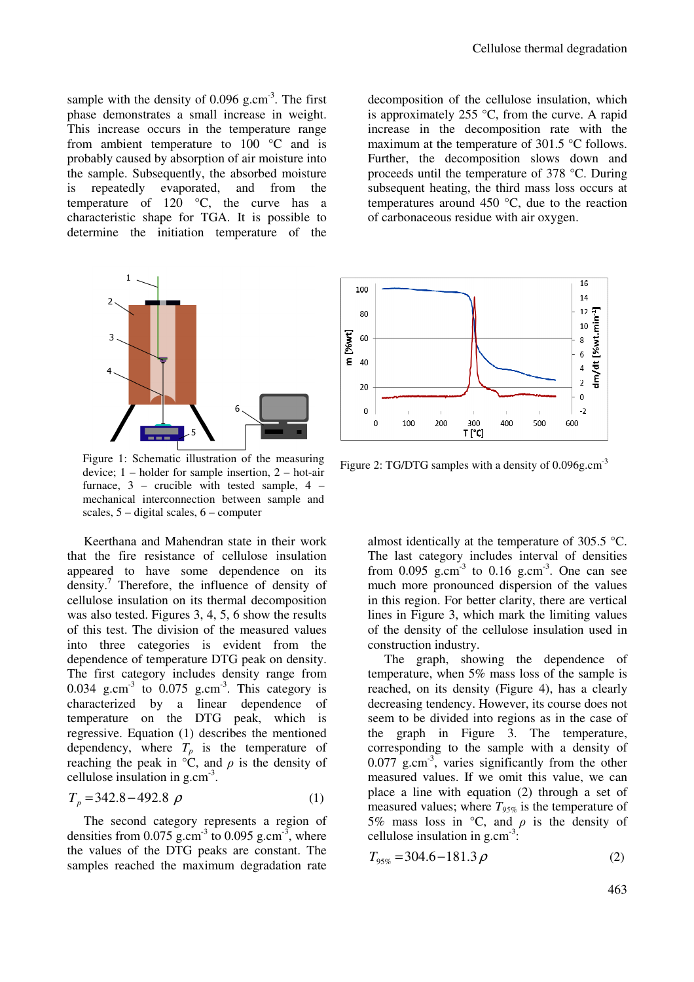sample with the density of  $0.096$  g.cm<sup>-3</sup>. The first phase demonstrates a small increase in weight. This increase occurs in the temperature range from ambient temperature to  $100\degree\text{C}$  and is probably caused by absorption of air moisture into the sample. Subsequently, the absorbed moisture is repeatedly evaporated, and from the temperature of 120 °C, the curve has a characteristic shape for TGA. It is possible to determine the initiation temperature of the



Figure 1: Schematic illustration of the measuring device; 1 – holder for sample insertion, 2 – hot-air furnace, 3 – crucible with tested sample, 4 – mechanical interconnection between sample and scales, 5 – digital scales, 6 – computer

Keerthana and Mahendran state in their work that the fire resistance of cellulose insulation appeared to have some dependence on its density.<sup>7</sup> Therefore, the influence of density of cellulose insulation on its thermal decomposition was also tested. Figures 3, 4, 5, 6 show the results of this test. The division of the measured values into three categories is evident from the dependence of temperature DTG peak on density. The first category includes density range from 0.034 g.cm<sup>-3</sup> to 0.075 g.cm<sup>-3</sup>. This category is characterized by a linear dependence of temperature on the DTG peak, which is regressive. Equation (1) describes the mentioned dependency, where  $T_p$  is the temperature of reaching the peak in  $\degree$ C, and  $\rho$  is the density of cellulose insulation in g.cm-3 .

$$
T_p = 342.8 - 492.8 \rho \tag{1}
$$

The second category represents a region of densities from  $0.075$  g.cm<sup>-3</sup> to  $0.095$  g.cm<sup>-3</sup>, where the values of the DTG peaks are constant. The samples reached the maximum degradation rate

decomposition of the cellulose insulation, which is approximately 255  $\degree$ C, from the curve. A rapid increase in the decomposition rate with the maximum at the temperature of 301.5 °C follows. Further, the decomposition slows down and proceeds until the temperature of 378 °C. During subsequent heating, the third mass loss occurs at temperatures around 450 °C, due to the reaction of carbonaceous residue with air oxygen.



Figure 2: TG/DTG samples with a density of 0.096g.cm<sup>-3</sup>

almost identically at the temperature of 305.5 °C. The last category includes interval of densities from  $0.095$  g.cm<sup>-3</sup> to  $0.16$  g.cm<sup>-3</sup>. One can see much more pronounced dispersion of the values in this region. For better clarity, there are vertical lines in Figure 3, which mark the limiting values of the density of the cellulose insulation used in construction industry.

The graph, showing the dependence of temperature, when 5% mass loss of the sample is reached, on its density (Figure 4), has a clearly decreasing tendency. However, its course does not seem to be divided into regions as in the case of the graph in Figure 3. The temperature, corresponding to the sample with a density of  $0.077$  g.cm<sup>-3</sup>, varies significantly from the other measured values. If we omit this value, we can place a line with equation (2) through a set of measured values; where  $T_{95\%}$  is the temperature of 5% mass loss in  $\degree$ C, and  $\rho$  is the density of cellulose insulation in  $g.cm^{-3}$ .

$$
T_{95\%} = 304.6 - 181.3 \rho \tag{2}
$$

463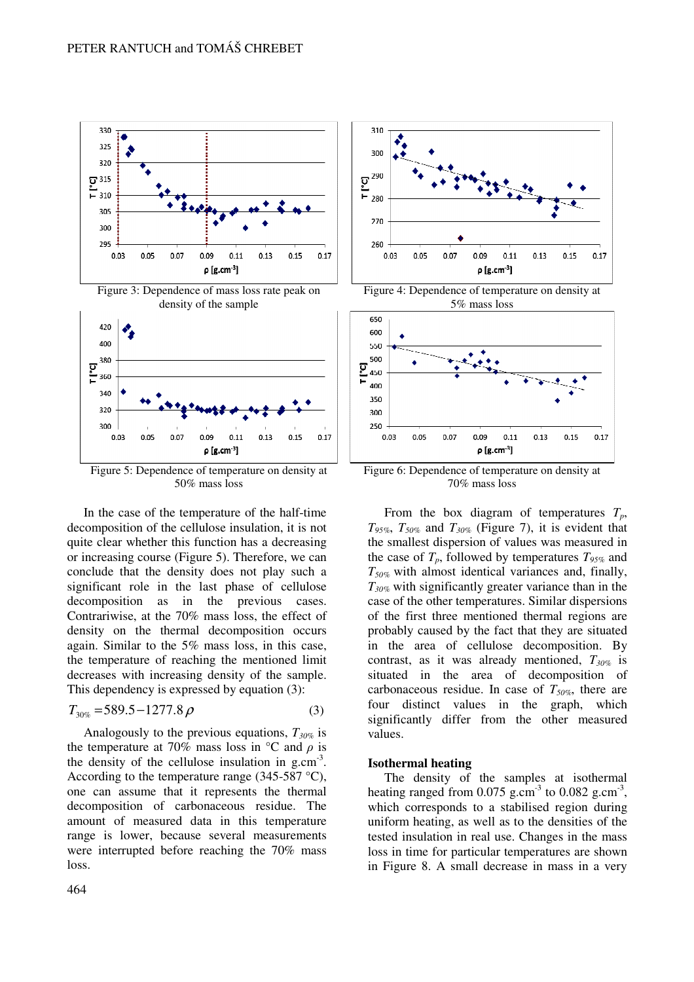



Figure 5: Dependence of temperature on density at 50% mass loss

In the case of the temperature of the half-time decomposition of the cellulose insulation, it is not quite clear whether this function has a decreasing or increasing course (Figure 5). Therefore, we can conclude that the density does not play such a significant role in the last phase of cellulose decomposition as in the previous cases. Contrariwise, at the 70% mass loss, the effect of density on the thermal decomposition occurs again. Similar to the 5% mass loss, in this case, the temperature of reaching the mentioned limit decreases with increasing density of the sample. This dependency is expressed by equation (3):

$$
T_{30\%} = 589.5 - 1277.8 \,\rho \tag{3}
$$

Analogously to the previous equations, *T30%* is the temperature at 70% mass loss in  $\degree$ C and  $\rho$  is the density of the cellulose insulation in  $g.cm^{-3}$ . According to the temperature range (345-587  $^{\circ}$ C), one can assume that it represents the thermal decomposition of carbonaceous residue. The amount of measured data in this temperature range is lower, because several measurements were interrupted before reaching the 70% mass loss.



Figure 4: Dependence of temperature on density at 5% mass loss



Figure 6: Dependence of temperature on density at 70% mass loss

From the box diagram of temperatures *Tp*, *T95%*, *T50%* and *T30%* (Figure 7), it is evident that the smallest dispersion of values was measured in the case of  $T_p$ , followed by temperatures  $T_{95\%}$  and *T50%* with almost identical variances and, finally, *T30%* with significantly greater variance than in the case of the other temperatures. Similar dispersions of the first three mentioned thermal regions are probably caused by the fact that they are situated in the area of cellulose decomposition. By contrast, as it was already mentioned, *T30%* is situated in the area of decomposition of carbonaceous residue. In case of *T50%*, there are four distinct values in the graph, which significantly differ from the other measured values.

#### **Isothermal heating**

The density of the samples at isothermal heating ranged from  $0.075$  g.cm<sup>-3</sup> to  $0.082$  g.cm<sup>-3</sup>, which corresponds to a stabilised region during uniform heating, as well as to the densities of the tested insulation in real use. Changes in the mass loss in time for particular temperatures are shown in Figure 8. A small decrease in mass in a very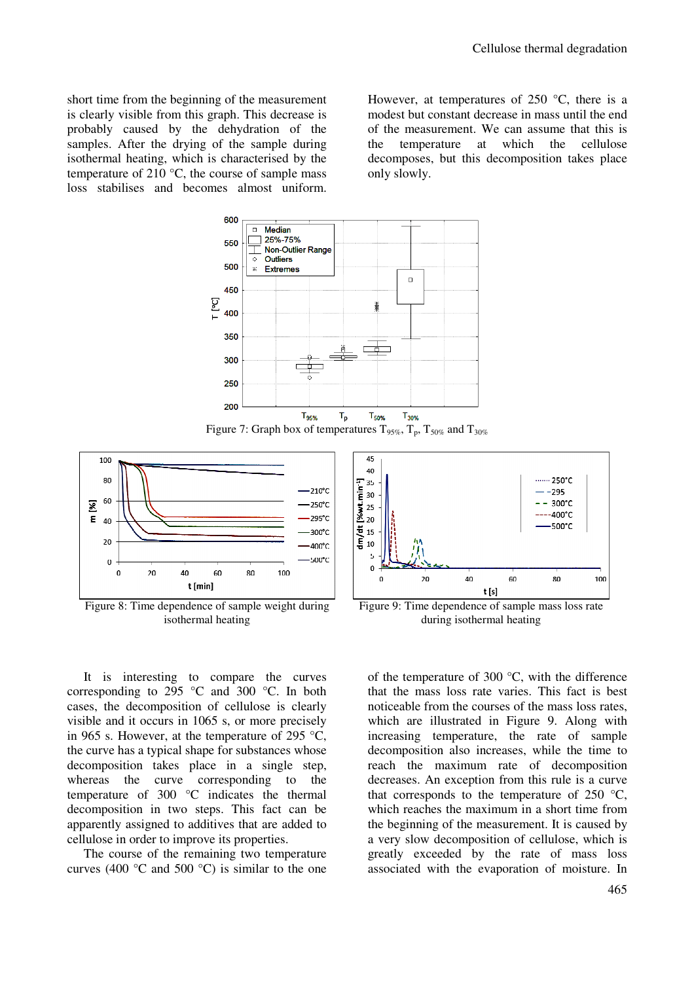short time from the beginning of the measurement is clearly visible from this graph. This decrease is probably caused by the dehydration of the samples. After the drying of the sample during isothermal heating, which is characterised by the temperature of 210  $^{\circ}$ C, the course of sample mass loss stabilises and becomes almost uniform.

However, at temperatures of  $250^{\circ}$ C, there is a modest but constant decrease in mass until the end of the measurement. We can assume that this is the temperature at which the cellulose decomposes, but this decomposition takes place only slowly.







Figure 8: Time dependence of sample weight during isothermal heating

It is interesting to compare the curves corresponding to 295  $\degree$ C and 300  $\degree$ C. In both cases, the decomposition of cellulose is clearly visible and it occurs in 1065 s, or more precisely in 965 s. However, at the temperature of 295  $\degree$ C, the curve has a typical shape for substances whose decomposition takes place in a single step, whereas the curve corresponding to the temperature of 300 °C indicates the thermal decomposition in two steps. This fact can be apparently assigned to additives that are added to cellulose in order to improve its properties.

The course of the remaining two temperature curves (400  $\degree$ C and 500  $\degree$ C) is similar to the one



Figure 9: Time dependence of sample mass loss rate during isothermal heating

of the temperature of 300 $\degree$ C, with the difference that the mass loss rate varies. This fact is best noticeable from the courses of the mass loss rates, which are illustrated in Figure 9. Along with increasing temperature, the rate of sample decomposition also increases, while the time to reach the maximum rate of decomposition decreases. An exception from this rule is a curve that corresponds to the temperature of  $250 \text{ °C}$ , which reaches the maximum in a short time from the beginning of the measurement. It is caused by a very slow decomposition of cellulose, which is greatly exceeded by the rate of mass loss associated with the evaporation of moisture. In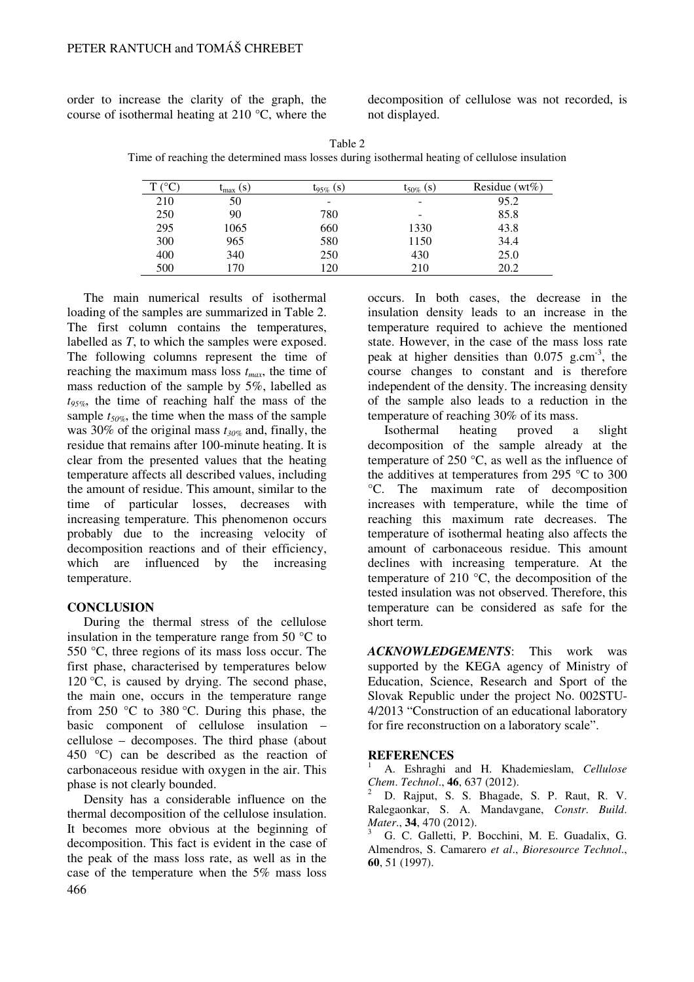order to increase the clarity of the graph, the course of isothermal heating at 210 °C, where the

decomposition of cellulose was not recorded, is not displayed.

Table 2 Time of reaching the determined mass losses during isothermal heating of cellulose insulation

| $\mathcal{C}^{\circ}$ | $\iota_{\text{max}}(s)$ | $\log_{\phi}$ (S) | $t_{50\%}$ (S) | Residue ( $wt\%$ ) |
|-----------------------|-------------------------|-------------------|----------------|--------------------|
| 210                   | 50                      |                   | -              | 95.2               |
| 250                   | 90                      | 780               | -              | 85.8               |
| 295                   | 1065                    | 660               | 1330           | 43.8               |
| 300                   | 965                     | 580               | 1150           | 34.4               |
| 400                   | 340                     | 250               | 430            | 25.0               |
| 500                   | 70،                     | 120               | 210            | 20.2               |

The main numerical results of isothermal loading of the samples are summarized in Table 2. The first column contains the temperatures, labelled as *T*, to which the samples were exposed. The following columns represent the time of reaching the maximum mass loss *tmax*, the time of mass reduction of the sample by 5%, labelled as *t95%*, the time of reaching half the mass of the sample *t50%*, the time when the mass of the sample was 30% of the original mass *t30%* and, finally, the residue that remains after 100-minute heating. It is clear from the presented values that the heating temperature affects all described values, including the amount of residue. This amount, similar to the time of particular losses, decreases with increasing temperature. This phenomenon occurs probably due to the increasing velocity of decomposition reactions and of their efficiency, which are influenced by the increasing temperature.

## **CONCLUSION**

During the thermal stress of the cellulose insulation in the temperature range from 50  $\degree$ C to 550 °C, three regions of its mass loss occur. The first phase, characterised by temperatures below 120  $\degree$ C, is caused by drying. The second phase, the main one, occurs in the temperature range from 250 °C to 380 °C. During this phase, the basic component of cellulose insulation – cellulose – decomposes. The third phase (about 450 °C) can be described as the reaction of carbonaceous residue with oxygen in the air. This phase is not clearly bounded.

466 Density has a considerable influence on the thermal decomposition of the cellulose insulation. It becomes more obvious at the beginning of decomposition. This fact is evident in the case of the peak of the mass loss rate, as well as in the case of the temperature when the 5% mass loss

occurs. In both cases, the decrease in the insulation density leads to an increase in the temperature required to achieve the mentioned state. However, in the case of the mass loss rate peak at higher densities than  $0.075$  g.cm<sup>-3</sup>, the course changes to constant and is therefore independent of the density. The increasing density of the sample also leads to a reduction in the temperature of reaching 30% of its mass.

Isothermal heating proved a slight decomposition of the sample already at the temperature of 250  $\degree$ C, as well as the influence of the additives at temperatures from 295 °C to 300 °C. The maximum rate of decomposition increases with temperature, while the time of reaching this maximum rate decreases. The temperature of isothermal heating also affects the amount of carbonaceous residue. This amount declines with increasing temperature. At the temperature of 210 °C, the decomposition of the tested insulation was not observed. Therefore, this temperature can be considered as safe for the short term.

*ACKNOWLEDGEMENTS*: This work was supported by the KEGA agency of Ministry of Education, Science, Research and Sport of the Slovak Republic under the project No. 002STU-4/2013 "Construction of an educational laboratory for fire reconstruction on a laboratory scale".

### **REFERENCES**

<sup>1</sup> A. Eshraghi and H. Khademieslam, *Cellulose Chem*. *Technol*., **46**, 637 (2012).

<sup>2</sup> D. Rajput, S. S. Bhagade, S. P. Raut, R. V. Ralegaonkar, S. A. Mandavgane, *Constr*. *Build*. *Mater*., **34**, 470 (2012).

<sup>3</sup> G. C. Galletti, P. Bocchini, M. E. Guadalix, G. Almendros, S. Camarero *et al*., *Bioresource Technol*., **60**, 51 (1997).